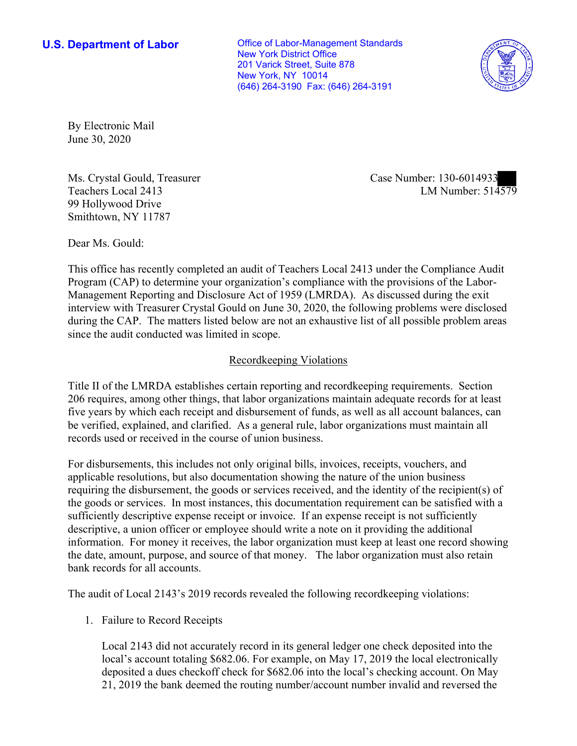**U.S. Department of Labor Conservative Conservative Conservative Conservative Conservative Conservative Conservative Conservative Conservative Conservative Conservative Conservative Conservative Conservative Conservative** New York District Office 201 Varick Street, Suite 878 New York, NY 10014 (646) 264-3190 Fax: (646) 264-3191



By Electronic Mail June 30, 2020

Ms. Crystal Gould, Treasurer Teachers Local 2413 99 Hollywood Drive Smithtown, NY 11787

Case Number: 130-6014933<br>LM Number: 514579

Dear Ms. Gould:

This office has recently completed an audit of Teachers Local 2413 under the Compliance Audit Program (CAP) to determine your organization's compliance with the provisions of the Labor-Management Reporting and Disclosure Act of 1959 (LMRDA). As discussed during the exit interview with Treasurer Crystal Gould on June 30, 2020, the following problems were disclosed during the CAP. The matters listed below are not an exhaustive list of all possible problem areas since the audit conducted was limited in scope.

## Recordkeeping Violations

Title II of the LMRDA establishes certain reporting and recordkeeping requirements. Section 206 requires, among other things, that labor organizations maintain adequate records for at least five years by which each receipt and disbursement of funds, as well as all account balances, can be verified, explained, and clarified. As a general rule, labor organizations must maintain all records used or received in the course of union business.

For disbursements, this includes not only original bills, invoices, receipts, vouchers, and applicable resolutions, but also documentation showing the nature of the union business requiring the disbursement, the goods or services received, and the identity of the recipient(s) of the goods or services. In most instances, this documentation requirement can be satisfied with a sufficiently descriptive expense receipt or invoice. If an expense receipt is not sufficiently descriptive, a union officer or employee should write a note on it providing the additional information. For money it receives, the labor organization must keep at least one record showing the date, amount, purpose, and source of that money. The labor organization must also retain bank records for all accounts.

The audit of Local 2143's 2019 records revealed the following recordkeeping violations:

1. Failure to Record Receipts

Local 2143 did not accurately record in its general ledger one check deposited into the local's account totaling \$682.06. For example, on May 17, 2019 the local electronically deposited a dues checkoff check for \$682.06 into the local's checking account. On May 21, 2019 the bank deemed the routing number/account number invalid and reversed the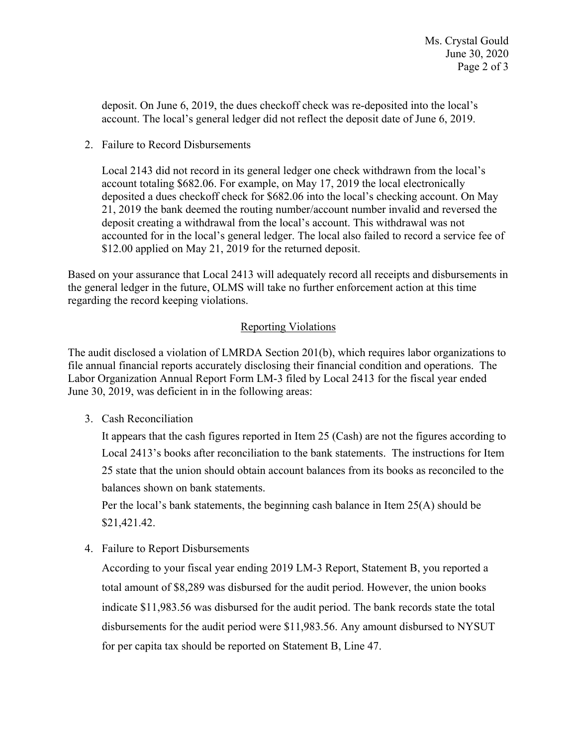deposit. On June 6, 2019, the dues checkoff check was re-deposited into the local's account. The local's general ledger did not reflect the deposit date of June 6, 2019.

2. Failure to Record Disbursements

Local 2143 did not record in its general ledger one check withdrawn from the local's account totaling \$682.06. For example, on May 17, 2019 the local electronically deposited a dues checkoff check for \$682.06 into the local's checking account. On May 21, 2019 the bank deemed the routing number/account number invalid and reversed the deposit creating a withdrawal from the local's account. This withdrawal was not accounted for in the local's general ledger. The local also failed to record a service fee of \$12.00 applied on May 21, 2019 for the returned deposit.

Based on your assurance that Local 2413 will adequately record all receipts and disbursements in the general ledger in the future, OLMS will take no further enforcement action at this time regarding the record keeping violations.

## Reporting Violations

The audit disclosed a violation of LMRDA Section 201(b), which requires labor organizations to file annual financial reports accurately disclosing their financial condition and operations. The Labor Organization Annual Report Form LM-3 filed by Local 2413 for the fiscal year ended June 30, 2019, was deficient in in the following areas:

3. Cash Reconciliation

It appears that the cash figures reported in Item 25 (Cash) are not the figures according to Local 2413's books after reconciliation to the bank statements. The instructions for Item 25 state that the union should obtain account balances from its books as reconciled to the balances shown on bank statements.

Per the local's bank statements, the beginning cash balance in Item 25(A) should be [\\$21,421.42](https://21,421.42).

4. Failure to Report Disbursements

According to your fiscal year ending 2019 LM-3 Report, Statement B, you reported a total amount of \$8,289 was disbursed for the audit period. However, the union books indicate [\\$11,983.56](https://11,983.56) was disbursed for the audit period. The bank records state the total disbursements for the audit period were [\\$11,983.56](https://11,983.56). Any amount disbursed to NYSUT for per capita tax should be reported on Statement B, Line 47.